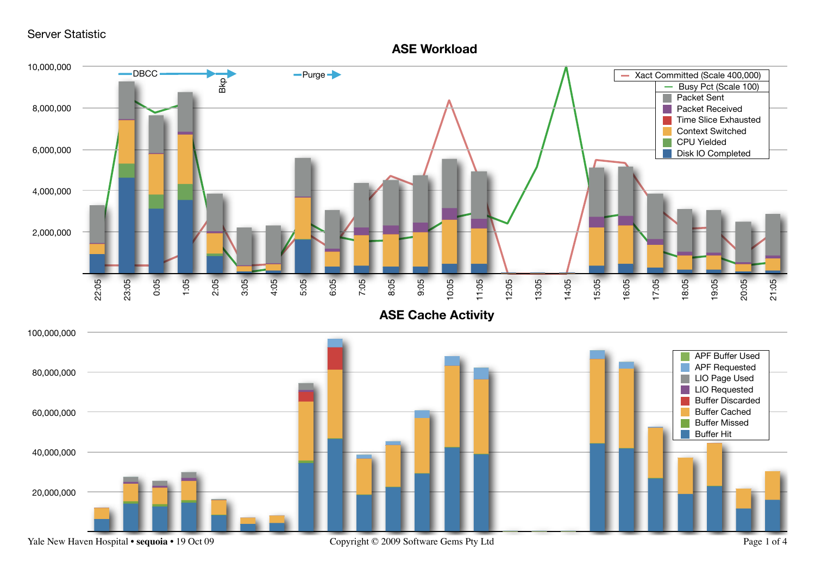Server Statistic

## **ASE Workload**

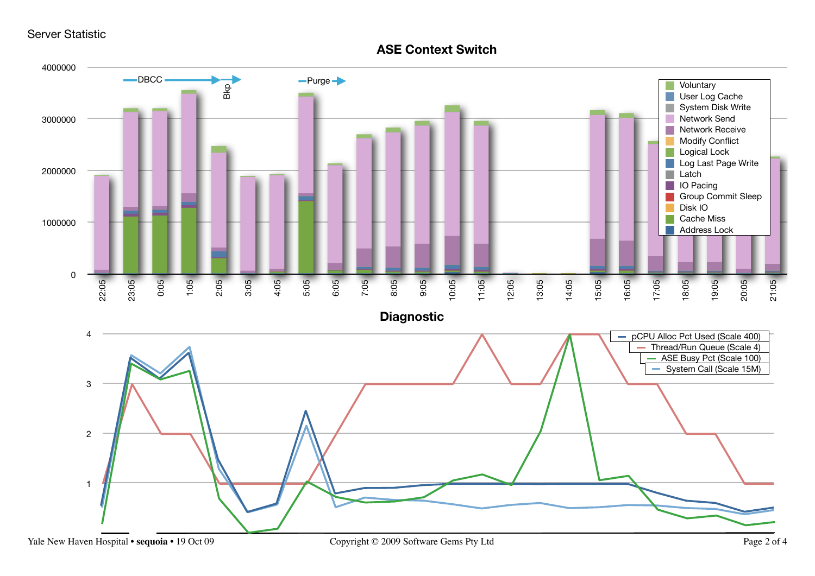Server Statistic

## **ASE Context Switch**

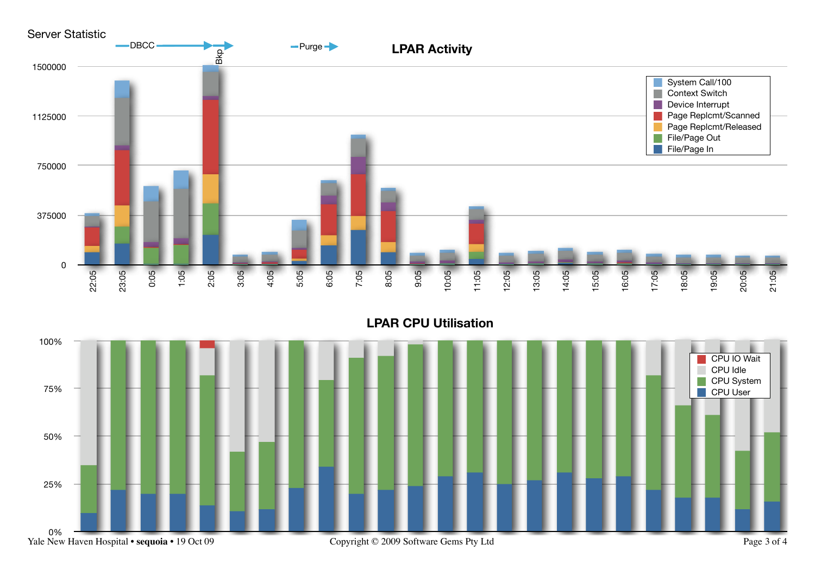